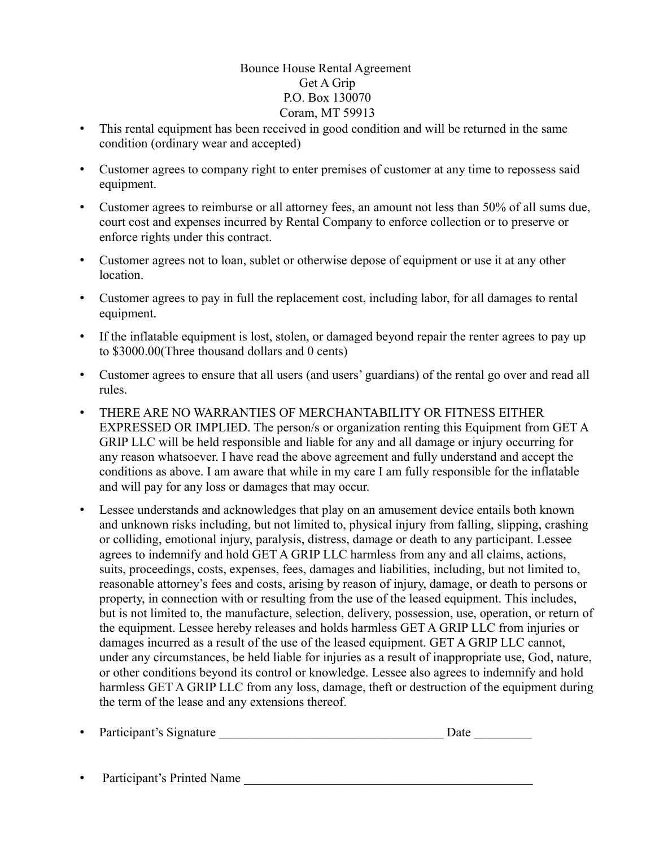## Bounce House Rental Agreement Get A Grip P.O. Box 130070 Coram, MT 59913

- This rental equipment has been received in good condition and will be returned in the same condition (ordinary wear and accepted)
- Customer agrees to company right to enter premises of customer at any time to repossess said equipment.
- Customer agrees to reimburse or all attorney fees, an amount not less than 50% of all sums due, court cost and expenses incurred by Rental Company to enforce collection or to preserve or enforce rights under this contract.
- Customer agrees not to loan, sublet or otherwise depose of equipment or use it at any other location.
- Customer agrees to pay in full the replacement cost, including labor, for all damages to rental equipment.
- If the inflatable equipment is lost, stolen, or damaged beyond repair the renter agrees to pay up to \$3000.00(Three thousand dollars and 0 cents)
- Customer agrees to ensure that all users (and users' guardians) of the rental go over and read all rules.
- THERE ARE NO WARRANTIES OF MERCHANTABILITY OR FITNESS EITHER EXPRESSED OR IMPLIED. The person/s or organization renting this Equipment from GET A GRIP LLC will be held responsible and liable for any and all damage or injury occurring for any reason whatsoever. I have read the above agreement and fully understand and accept the conditions as above. I am aware that while in my care I am fully responsible for the inflatable and will pay for any loss or damages that may occur.
- Lessee understands and acknowledges that play on an amusement device entails both known and unknown risks including, but not limited to, physical injury from falling, slipping, crashing or colliding, emotional injury, paralysis, distress, damage or death to any participant. Lessee agrees to indemnify and hold GET A GRIP LLC harmless from any and all claims, actions, suits, proceedings, costs, expenses, fees, damages and liabilities, including, but not limited to, reasonable attorney's fees and costs, arising by reason of injury, damage, or death to persons or property, in connection with or resulting from the use of the leased equipment. This includes, but is not limited to, the manufacture, selection, delivery, possession, use, operation, or return of the equipment. Lessee hereby releases and holds harmless GET A GRIP LLC from injuries or damages incurred as a result of the use of the leased equipment. GET A GRIP LLC cannot, under any circumstances, be held liable for injuries as a result of inappropriate use, God, nature, or other conditions beyond its control or knowledge. Lessee also agrees to indemnify and hold harmless GET A GRIP LLC from any loss, damage, theft or destruction of the equipment during the term of the lease and any extensions thereof.

|  | Participant's Signature |  |  |
|--|-------------------------|--|--|
|--|-------------------------|--|--|

• Participant's Printed Name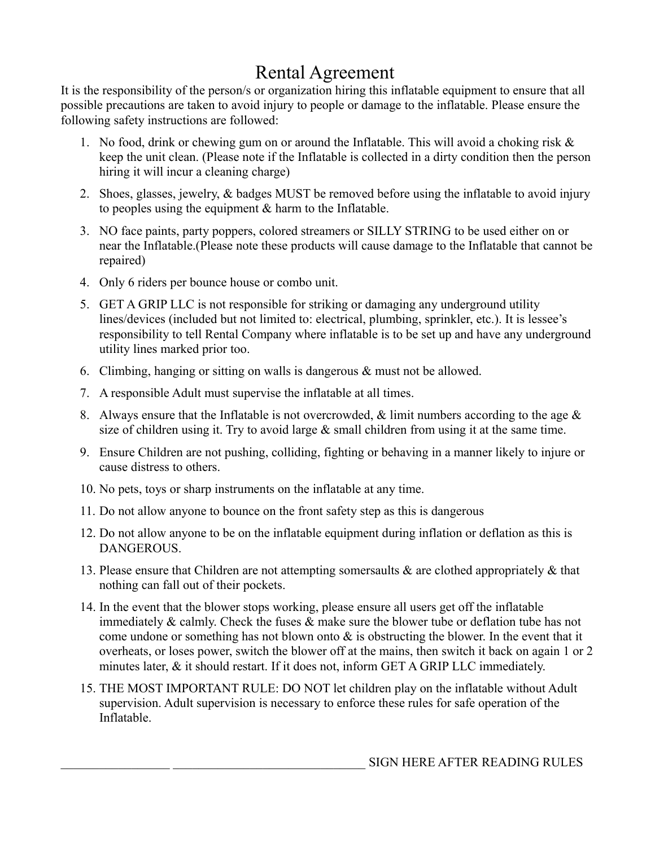## Rental Agreement

It is the responsibility of the person/s or organization hiring this inflatable equipment to ensure that all possible precautions are taken to avoid injury to people or damage to the inflatable. Please ensure the following safety instructions are followed:

- 1. No food, drink or chewing gum on or around the Inflatable. This will avoid a choking risk & keep the unit clean. (Please note if the Inflatable is collected in a dirty condition then the person hiring it will incur a cleaning charge)
- 2. Shoes, glasses, jewelry, & badges MUST be removed before using the inflatable to avoid injury to peoples using the equipment  $\&$  harm to the Inflatable.
- 3. NO face paints, party poppers, colored streamers or SILLY STRING to be used either on or near the Inflatable.(Please note these products will cause damage to the Inflatable that cannot be repaired)
- 4. Only 6 riders per bounce house or combo unit.
- 5. GET A GRIP LLC is not responsible for striking or damaging any underground utility lines/devices (included but not limited to: electrical, plumbing, sprinkler, etc.). It is lessee's responsibility to tell Rental Company where inflatable is to be set up and have any underground utility lines marked prior too.
- 6. Climbing, hanging or sitting on walls is dangerous & must not be allowed.
- 7. A responsible Adult must supervise the inflatable at all times.
- 8. Always ensure that the Inflatable is not overcrowded,  $\&$  limit numbers according to the age  $\&$ size of children using it. Try to avoid large  $\&$  small children from using it at the same time.
- 9. Ensure Children are not pushing, colliding, fighting or behaving in a manner likely to injure or cause distress to others.
- 10. No pets, toys or sharp instruments on the inflatable at any time.
- 11. Do not allow anyone to bounce on the front safety step as this is dangerous
- 12. Do not allow anyone to be on the inflatable equipment during inflation or deflation as this is DANGEROUS.
- 13. Please ensure that Children are not attempting somersaults & are clothed appropriately & that nothing can fall out of their pockets.
- 14. In the event that the blower stops working, please ensure all users get off the inflatable immediately & calmly. Check the fuses & make sure the blower tube or deflation tube has not come undone or something has not blown onto & is obstructing the blower. In the event that it overheats, or loses power, switch the blower off at the mains, then switch it back on again 1 or 2 minutes later, & it should restart. If it does not, inform GET A GRIP LLC immediately.
- 15. THE MOST IMPORTANT RULE: DO NOT let children play on the inflatable without Adult supervision. Adult supervision is necessary to enforce these rules for safe operation of the Inflatable.

\_\_\_\_\_\_\_\_\_\_\_\_\_\_\_\_\_ \_\_\_\_\_\_\_\_\_\_\_\_\_\_\_\_\_\_\_\_\_\_\_\_\_\_\_\_\_\_ SIGN HERE AFTER READING RULES